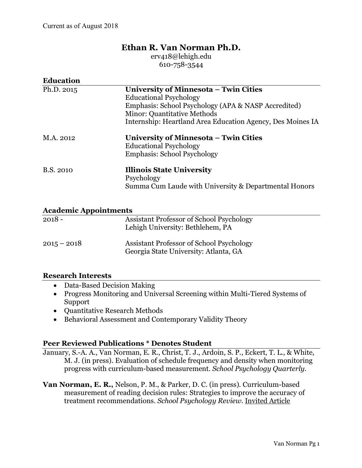# **Ethan R. Van Norman Ph.D.**

erv418@lehigh.edu 610-758-3544

| <b>Education</b> |                                                                                                                                                              |
|------------------|--------------------------------------------------------------------------------------------------------------------------------------------------------------|
| Ph.D. 2015       | University of Minnesota – Twin Cities<br><b>Educational Psychology</b><br>Emphasis: School Psychology (APA & NASP Accredited)<br>Minor: Quantitative Methods |
|                  | Internship: Heartland Area Education Agency, Des Moines IA                                                                                                   |
| M.A. 2012        | University of Minnesota – Twin Cities<br><b>Educational Psychology</b><br><b>Emphasis: School Psychology</b>                                                 |
| B.S. 2010        | <b>Illinois State University</b><br>Psychology<br>Summa Cum Laude with University & Departmental Honors                                                      |

#### **Academic Appointments**

| $2018 -$      | Assistant Professor of School Psychology<br>Lehigh University: Bethlehem, PA      |
|---------------|-----------------------------------------------------------------------------------|
| $2015 - 2018$ | Assistant Professor of School Psychology<br>Georgia State University: Atlanta, GA |

#### **Research Interests**

- Data-Based Decision Making
- Progress Monitoring and Universal Screening within Multi-Tiered Systems of Support
- Quantitative Research Methods
- Behavioral Assessment and Contemporary Validity Theory

#### **Peer Reviewed Publications \* Denotes Student**

January, S.-A. A., Van Norman, E. R., Christ, T. J., Ardoin, S. P., Eckert, T. L., & White, M. J. (in press). Evaluation of schedule frequency and density when monitoring progress with curriculum-based measurement. *School Psychology Quarterly.* 

**Van Norman, E. R.,** Nelson, P. M., & Parker, D. C. (in press). Curriculum-based measurement of reading decision rules: Strategies to improve the accuracy of treatment recommendations. *School Psychology Review*. Invited Article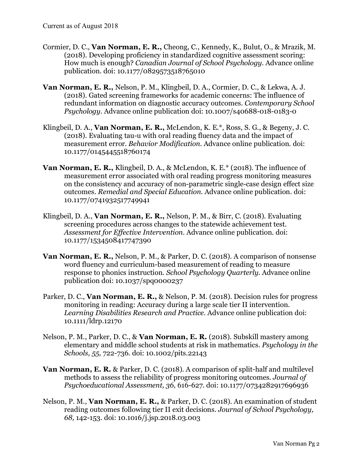- Cormier, D. C., **Van Norman, E. R.,** Cheong, C., Kennedy, K., Bulut, O., & Mrazik, M. (2018). Developing proficiency in standardized cognitive assessment scoring: How much is enough? *Canadian Journal of School Psychology.* Advance online publication. doi: 10.1177/0829573518765010
- **Van Norman, E. R.,** Nelson, P. M., Klingbeil, D. A., Cormier, D. C., & Lekwa, A. J. (2018). Gated screening frameworks for academic concerns: The influence of redundant information on diagnostic accuracy outcomes. *Contemporary School Psychology.* Advance online publication doi: 10.1007/s40688-018-0183-0
- Klingbeil, D. A., **Van Norman, E. R.,** McLendon, K. E.\*, Ross, S. G., & Begeny, J. C. (2018). Evaluating tau-u with oral reading fluency data and the impact of measurement error. *Behavior Modification.* Advance online publication. doi: 10.1177/0145445518760174
- **Van Norman, E. R.,** Klingbeil, D. A., & McLendon, K. E.\* (2018). The influence of measurement error associated with oral reading progress monitoring measures on the consistency and accuracy of non-parametric single-case design effect size outcomes. *Remedial and Special Education.* Advance online publication. doi: 10.1177/0741932517749941
- Klingbeil, D. A., **Van Norman, E. R.,** Nelson, P. M., & Birr, C. (2018). Evaluating screening procedures across changes to the statewide achievement test. *Assessment for Effective Intervention*. Advance online publication. doi: 10.1177/1534508417747390
- **Van Norman, E. R.,** Nelson, P. M., & Parker, D. C. (2018). A comparison of nonsense word fluency and curriculum-based measurement of reading to measure response to phonics instruction. *School Psychology Quarterly.* Advance online publication doi: 10.1037/spq0000237
- Parker, D. C., **Van Norman, E. R.,** & Nelson, P. M. (2018). Decision rules for progress monitoring in reading: Accuracy during a large scale tier II intervention. *Learning Disabilities Research and Practice.* Advance online publication doi: 10.1111/ldrp.12170
- Nelson, P. M., Parker, D. C., & **Van Norman, E. R.** (2018). Subskill mastery among elementary and middle school students at risk in mathematics. *Psychology in the Schools, 55,* 722-736. doi: 10.1002/pits.22143
- **Van Norman, E. R.** & Parker, D. C. (2018). A comparison of split-half and multilevel methods to assess the reliability of progress monitoring outcomes. *Journal of Psychoeducational Assessment, 36,* 616-627. doi: 10.1177/0734282917696936
- Nelson, P. M., **Van Norman, E. R.,** & Parker, D. C. (2018). An examination of student reading outcomes following tier II exit decisions. *Journal of School Psychology, 68,* 142-153. doi: 10.1016/j.jsp.2018.03.003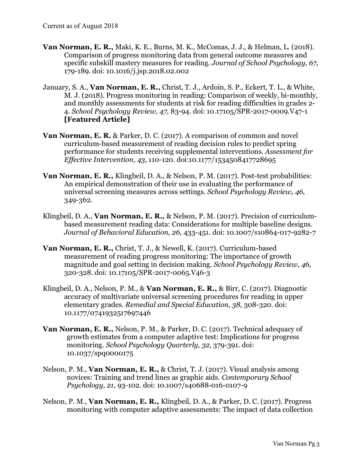- **Van Norman, E. R.,** Maki, K. E., Burns, M. K., McComas, J. J., & Helman, L. (2018). Comparison of progress monitoring data from general outcome measures and specific subskill mastery measures for reading. *Journal of School Psychology, 67,*  179-189. doi: 10.1016/j.jsp.2018.02.002
- January, S. A., **Van Norman, E. R.,** Christ, T. J., Ardoin, S. P., Eckert, T. L., & White, M. J. (2018). Progress monitoring in reading: Comparison of weekly, bi-monthly, and monthly assessments for students at risk for reading difficulties in grades 2- 4. *School Psychology Review, 47,* 83-94. doi: 10.17105/SPR-2017-0009.V47-1 **[Featured Article]**
- **Van Norman, E. R.** & Parker, D. C. (2017). A comparison of common and novel curriculum-based measurement of reading decision rules to predict spring performance for students receiving supplemental interventions. *Assessment for Effective Intervention, 43,* 110-120. doi:10.1177/1534508417728695
- **Van Norman, E. R.,** Klingbeil, D. A., & Nelson, P. M. (2017). Post-test probabilities: An empirical demonstration of their use in evaluating the performance of universal screening measures across settings. *School Psychology Review, 46,*  349-362.
- Klingbeil, D. A., **Van Norman, E. R.,** & Nelson, P. M. (2017). Precision of curriculumbased measurement reading data: Considerations for multiple baseline designs. *Journal of Behavioral Education, 26,* 433-451. doi: 10.1007/s10864-017-9282-7
- **Van Norman, E. R.,** Christ, T. J., & Newell, K. (2017). Curriculum-based measurement of reading progress monitoring: The importance of growth magnitude and goal setting in decision making. *School Psychology Review, 46,* 320-328. doi: 10.17105/SPR-2017-0065.V46-3
- Klingbeil, D. A., Nelson, P. M., & **Van Norman, E. R.,** & Birr, C. (2017). Diagnostic accuracy of multivariate universal screening procedures for reading in upper elementary grades. *Remedial and Special Education, 38,* 308-320. doi: 10.1177/0741932517697446
- **Van Norman, E. R.,** Nelson, P. M., & Parker, D. C. (2017). Technical adequacy of growth estimates from a computer adaptive test: Implications for progress monitoring. *School Psychology Quarterly, 32,* 379-391. doi: 10.1037/spq0000175
- Nelson, P. M., **Van Norman, E. R.,** & Christ, T. J. (2017). Visual analysis among novices: Training and trend lines as graphic aids. *Contemporary School Psychology, 21,* 93-102. doi: 10.1007/s40688-016-0107-9
- Nelson, P. M., **Van Norman, E. R.,** Klingbeil, D. A., & Parker, D. C. (2017). Progress monitoring with computer adaptive assessments: The impact of data collection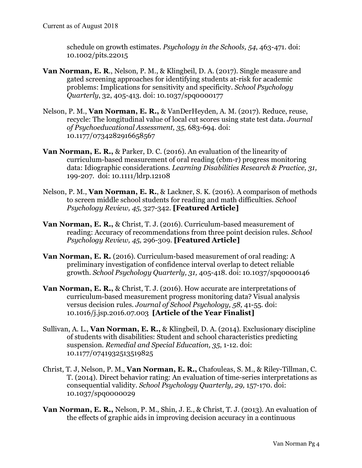schedule on growth estimates. *Psychology in the Schools, 54*, 463-471. doi: 10.1002/pits.22015

- **Van Norman, E. R**., Nelson, P. M., & Klingbeil, D. A. (2017). Single measure and gated screening approaches for identifying students at-risk for academic problems: Implications for sensitivity and specificity. *School Psychology Quarterly*, 32, 405-413. doi: 10.1037/spq0000177
- Nelson, P. M., **Van Norman, E. R.,** & VanDerHeyden, A. M. (2017). Reduce, reuse, recycle: The longitudinal value of local cut scores using state test data. *Journal of Psychoeducational Assessment, 35,* 683-694. doi: 10.1177/0734282916658567
- **Van Norman, E. R.,** & Parker, D. C. (2016). An evaluation of the linearity of curriculum-based measurement of oral reading (cbm-r) progress monitoring data: Idiographic considerations. *Learning Disabilities Research & Practice, 31,*  199-207. doi: 10.1111/ldrp.12108
- Nelson, P. M., **Van Norman, E. R.**, & Lackner, S. K. (2016). A comparison of methods to screen middle school students for reading and math difficulties. *School Psychology Review, 45,* 327-342. **[Featured Article]**
- **Van Norman, E. R.,** & Christ, T. J. (2016). Curriculum-based measurement of reading: Accuracy of recommendations from three point decision rules. *School Psychology Review, 45,* 296-309. **[Featured Article]**
- **Van Norman, E. R.** (2016). Curriculum-based measurement of oral reading: A preliminary investigation of confidence interval overlap to detect reliable growth. *School Psychology Quarterly, 31,* 405-418. doi: 10.1037/spq0000146
- **Van Norman, E. R.,** & Christ, T. J. (2016). How accurate are interpretations of curriculum-based measurement progress monitoring data? Visual analysis versus decision rules. *Journal of School Psychology, 58,* 41-55. doi: 10.1016/j.jsp.2016.07.003 **[Article of the Year Finalist]**
- Sullivan, A. L., **Van Norman, E. R.,** & Klingbeil, D. A. (2014). Exclusionary discipline of students with disabilities: Student and school characteristics predicting suspension. *Remedial and Special Education, 35*, 1-12. doi: 10.1177/0741932513519825
- Christ, T. J, Nelson, P. M., **Van Norman, E. R.,** Chafouleas, S. M., & Riley-Tillman, C. T. (2014). Direct behavior rating: An evaluation of time-series interpretations as consequential validity. *School Psychology Quarterly, 29,* 157-170. doi: 10.1037/spq0000029
- **Van Norman, E. R.,** Nelson, P. M., Shin, J. E., & Christ, T. J. (2013). An evaluation of the effects of graphic aids in improving decision accuracy in a continuous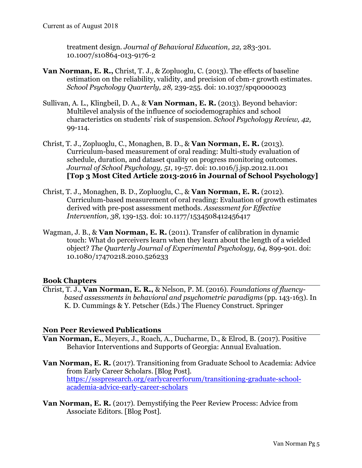treatment design. *Journal of Behavioral Education, 22,* 283-301. 10.1007/s10864-013-9176-2

- **Van Norman, E. R.,** Christ, T. J., & Zopluoglu, C. (2013). The effects of baseline estimation on the reliability, validity, and precision of cbm-r growth estimates. *School Psychology Quarterly, 28,* 239-255. doi: 10.1037/spq0000023
- Sullivan, A. L., Klingbeil, D. A., & **Van Norman, E. R.** (2013). Beyond behavior: Multilevel analysis of the influence of sociodemographics and school characteristics on students' risk of suspension. *School Psychology Review, 42,*  99-114.
- Christ, T. J., Zopluoglu, C., Monaghen, B. D., & **Van Norman, E. R.** (2013). Curriculum-based measurement of oral reading: Multi-study evaluation of schedule, duration, and dataset quality on progress monitoring outcomes. *Journal of School Psychology, 51*, 19-57. doi: 10.1016/j.jsp.2012.11.001 **[Top 3 Most Cited Article 2013-2016 in Journal of School Psychology]**
- Christ, T. J., Monaghen, B. D., Zopluoglu, C., & **Van Norman, E. R.** (2012). Curriculum-based measurement of oral reading: Evaluation of growth estimates derived with pre-post assessment methods. *Assessment for Effective Intervention, 38,* 139-153. doi: 10.1177/1534508412456417
- Wagman, J. B., & **Van Norman, E. R.** (2011). Transfer of calibration in dynamic touch: What do perceivers learn when they learn about the length of a wielded object? *The Quarterly Journal of Experimental Psychology, 64,* 899-901. doi: 10.1080/17470218.2010.526233

### **Book Chapters**

Christ, T. J., **Van Norman, E. R.,** & Nelson, P. M. (2016). *Foundations of fluencybased assessments in behavioral and psychometric paradigms* (pp. 143-163)*.* In K. D. Cummings & Y. Petscher (Eds.) The Fluency Construct. Springer

#### **Non Peer Reviewed Publications**

- **Van Norman, E.**, Meyers, J., Roach, A., Ducharme, D., & Elrod, B. (2017). Positive Behavior Interventions and Supports of Georgia: Annual Evaluation.
- **Van Norman, E. R.** (2017). Transitioning from Graduate School to Academia: Advice from Early Career Scholars. [Blog Post]. https://ssspresearch.org/earlycareerforum/transitioning-graduate-schoolacademia-advice-early-career-scholars
- **Van Norman, E. R.** (2017). Demystifying the Peer Review Process: Advice from Associate Editors. [Blog Post].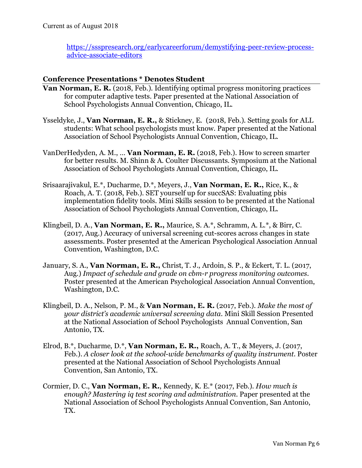https://ssspresearch.org/earlycareerforum/demystifying-peer-review-processadvice-associate-editors

### **Conference Presentations \* Denotes Student**

- **Van Norman, E. R.** (2018, Feb.). Identifying optimal progress monitoring practices for computer adaptive tests. Paper presented at the National Association of School Psychologists Annual Convention, Chicago, IL.
- Ysseldyke, J., **Van Norman, E. R.,** & Stickney, E. (2018, Feb.). Setting goals for ALL students: What school psychologists must know. Paper presented at the National Association of School Psychologists Annual Convention, Chicago, IL.
- VanDerHedyden, A. M., … **Van Norman, E. R.** (2018, Feb.). How to screen smarter for better results. M. Shinn & A. Coulter Discussants. Symposium at the National Association of School Psychologists Annual Convention, Chicago, IL.
- Srisaarajivakul, E.\*, Ducharme, D.\*, Meyers, J., **Van Norman, E. R.,** Rice, K., & Roach, A. T. (2018, Feb.). SET yourself up for succSAS: Evaluating pbis implementation fidelity tools. Mini Skills session to be presented at the National Association of School Psychologists Annual Convention, Chicago, IL.
- Klingbeil, D. A., **Van Norman, E. R.,** Maurice, S. A.\*, Schramm, A. L.\*, & Birr, C. (2017, Aug.) Accuracy of universal screening cut-scores across changes in state assessments. Poster presented at the American Psychological Association Annual Convention, Washington, D.C.
- January, S. A., **Van Norman, E. R.,** Christ, T. J., Ardoin, S. P., & Eckert, T. L. (2017, Aug.) *Impact of schedule and grade on cbm-r progress monitoring outcomes.*  Poster presented at the American Psychological Association Annual Convention, Washington, D.C.
- Klingbeil, D. A., Nelson, P. M., & **Van Norman, E. R.** (2017, Feb.). *Make the most of your district's academic universal screening data.* Mini Skill Session Presented at the National Association of School Psychologists Annual Convention, San Antonio, TX.
- Elrod, B.\*, Ducharme, D.\*, **Van Norman, E. R.,** Roach, A. T., & Meyers, J. (2017, Feb.). *A closer look at the school-wide benchmarks of quality instrument.* Poster presented at the National Association of School Psychologists Annual Convention, San Antonio, TX.
- Cormier, D. C., **Van Norman, E. R.**, Kennedy, K. E.\* (2017, Feb.). *How much is enough? Mastering iq test scoring and administration.* Paper presented at the National Association of School Psychologists Annual Convention, San Antonio, TX.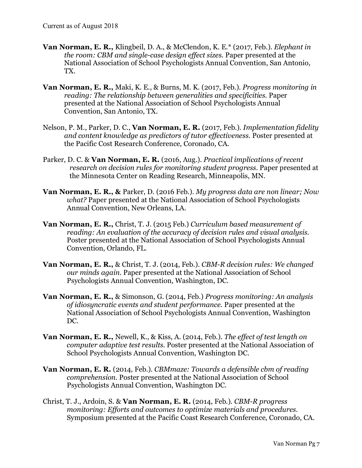- **Van Norman, E. R.,** Klingbeil, D. A., & McClendon, K. E.\* (2017, Feb.). *Elephant in the room: CBM and single-case design effect sizes.* Paper presented at the National Association of School Psychologists Annual Convention, San Antonio, TX.
- **Van Norman, E. R.,** Maki, K. E., & Burns, M. K. (2017, Feb.). *Progress monitoring in reading: The relationship between generalities and specificities.* Paper presented at the National Association of School Psychologists Annual Convention, San Antonio, TX.
- Nelson, P. M., Parker, D. C., **Van Norman, E. R.** (2017, Feb.). *Implementation fidelity and content knowledge as predictors of tutor effectiveness.* Poster presented at the Pacific Cost Research Conference, Coronado, CA.
- Parker, D. C. & **Van Norman, E. R.** (2016, Aug.). *Practical implications of recent research on decision rules for monitoring student progress.* Paper presented at the Minnesota Center on Reading Research, Minneapolis, MN.
- **Van Norman, E. R., &** Parker, D. (2016 Feb.). *My progress data are non linear; Now what?* Paper presented at the National Association of School Psychologists Annual Convention, New Orleans, LA.
- **Van Norman, E. R.,** Christ, T. J. (2015 Feb.) *Curriculum based measurement of reading: An evaluation of the accuracy of decision rules and visual analysis.*  Poster presented at the National Association of School Psychologists Annual Convention, Orlando, FL.
- **Van Norman, E. R.,** & Christ, T. J. (2014, Feb.). *CBM-R decision rules: We changed our minds again.* Paper presented at the National Association of School Psychologists Annual Convention, Washington, DC.
- **Van Norman, E. R.,** & Simonson, G. (2014, Feb.) *Progress monitoring: An analysis of idiosyncratic events and student performance.* Paper presented at the National Association of School Psychologists Annual Convention, Washington DC.
- **Van Norman, E. R.,** Newell, K., & Kiss, A. (2014, Feb.). *The effect of test length on computer adaptive test results.* Poster presented at the National Association of School Psychologists Annual Convention, Washington DC.
- **Van Norman, E. R.** (2014, Feb.). *CBMmaze: Towards a defensible cbm of reading comprehension.* Poster presented at the National Association of School Psychologists Annual Convention, Washington DC.
- Christ, T. J., Ardoin, S. & **Van Norman, E. R.** (2014, Feb.). *CBM-R progress monitoring: Efforts and outcomes to optimize materials and procedures.*  Symposium presented at the Pacific Coast Research Conference, Coronado, CA.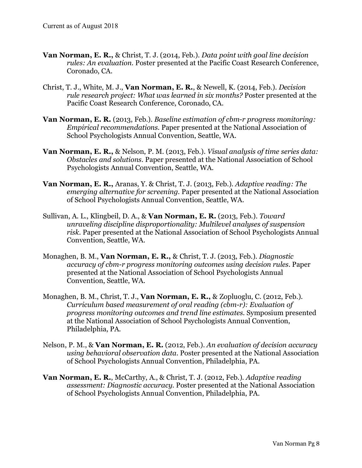- **Van Norman, E. R.,** & Christ, T. J. (2014, Feb.). *Data point with goal line decision rules: An evaluation.* Poster presented at the Pacific Coast Research Conference, Coronado, CA.
- Christ, T. J., White, M. J., **Van Norman, E. R.**, & Newell, K. (2014, Feb.). *Decision rule research project: What was learned in six months?* Poster presented at the Pacific Coast Research Conference, Coronado, CA.
- **Van Norman, E. R.** (2013, Feb.). *Baseline estimation of cbm-r progress monitoring: Empirical recommendations.* Paper presented at the National Association of School Psychologists Annual Convention, Seattle, WA.
- **Van Norman, E. R.,** & Nelson, P. M. (2013, Feb.). *Visual analysis of time series data: Obstacles and solutions.* Paper presented at the National Association of School Psychologists Annual Convention, Seattle, WA.
- **Van Norman, E. R.,** Aranas, Y. & Christ, T. J. (2013, Feb.). *Adaptive reading: The emerging alternative for screening.* Paper presented at the National Association of School Psychologists Annual Convention, Seattle, WA.
- Sullivan, A. L., Klingbeil, D. A., & **Van Norman, E. R.** (2013, Feb.). *Toward unraveling discipline disproportionality: Multilevel analyses of suspension risk.* Paper presented at the National Association of School Psychologists Annual Convention, Seattle, WA.
- Monaghen, B. M., **Van Norman, E. R.,** & Christ, T. J. (2013, Feb.). *Diagnostic accuracy of cbm-r progress monitoring outcomes using decision rules.* Paper presented at the National Association of School Psychologists Annual Convention, Seattle, WA.
- Monaghen, B. M., Christ, T. J., **Van Norman, E. R.,** & Zopluoglu, C. (2012, Feb.). *Curriculum based measurement of oral reading (cbm-r): Evaluation of progress monitoring outcomes and trend line estimates.* Symposium presented at the National Association of School Psychologists Annual Convention, Philadelphia, PA.
- Nelson, P. M., & **Van Norman, E. R.** (2012, Feb.). *An evaluation of decision accuracy using behavioral observation data.* Poster presented at the National Association of School Psychologists Annual Convention, Philadelphia, PA.
- **Van Norman, E. R.**, McCarthy, A., & Christ, T. J. (2012, Feb.). *Adaptive reading assessment: Diagnostic accuracy.* Poster presented at the National Association of School Psychologists Annual Convention, Philadelphia, PA.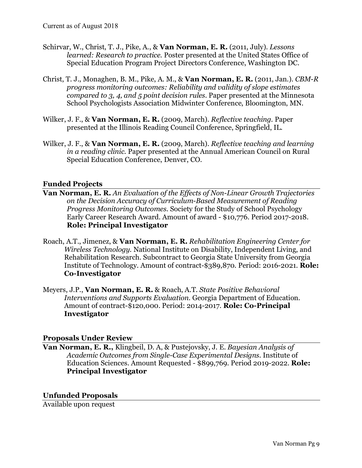- Schirvar, W., Christ, T. J., Pike, A., & **Van Norman, E. R.** (2011, July). *Lessons learned: Research to practice.* Poster presented at the United States Office of Special Education Program Project Directors Conference, Washington DC.
- Christ, T. J., Monaghen, B. M., Pike, A. M., & **Van Norman, E. R.** (2011, Jan.). *CBM-R progress monitoring outcomes: Reliability and validity of slope estimates compared to 3, 4, and 5 point decision rules.* Paper presented at the Minnesota School Psychologists Association Midwinter Conference, Bloomington, MN.
- Wilker, J. F., & **Van Norman, E. R.** (2009, March). *Reflective teaching.* Paper presented at the Illinois Reading Council Conference, Springfield, IL.
- Wilker, J. F., & **Van Norman, E. R.** (2009, March). *Reflective teaching and learning in a reading clinic.* Paper presented at the Annual American Council on Rural Special Education Conference, Denver, CO.

#### **Funded Projects**

- **Van Norman, E. R.** *An Evaluation of the Effects of Non-Linear Growth Trajectories on the Decision Accuracy of Curriculum-Based Measurement of Reading Progress Monitoring Outcomes.* Society for the Study of School Psychology Early Career Research Award. Amount of award - \$10,776. Period 2017-2018. **Role: Principal Investigator**
- Roach, A.T., Jimenez, & **Van Norman, E. R.** *Rehabilitation Engineering Center for Wireless Technology.* National Institute on Disability, Independent Living, and Rehabilitation Research. Subcontract to Georgia State University from Georgia Institute of Technology. Amount of contract-\$389,870. Period: 2016-2021. **Role: Co-Investigator**
- Meyers, J.P., **Van Norman, E. R.** & Roach, A.T. *State Positive Behavioral Interventions and Supports Evaluation.* Georgia Department of Education. Amount of contract-\$120,000. Period: 2014-2017. **Role: Co-Principal Investigator**

#### **Proposals Under Review**

**Van Norman, E. R.,** Klingbeil, D. A, & Pustejovsky, J. E. *Bayesian Analysis of Academic Outcomes from Single-Case Experimental Designs.* Institute of Education Sciences. Amount Requested - \$899,769. Period 2019-2022. **Role: Principal Investigator**

#### **Unfunded Proposals**

Available upon request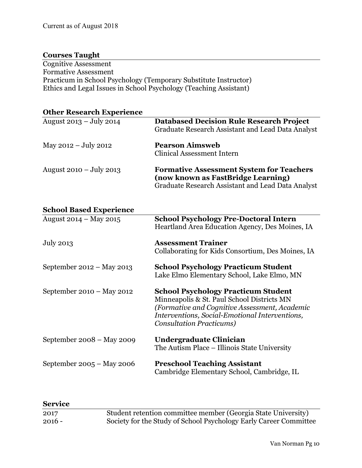### **Courses Taught**

Cognitive Assessment Formative Assessment Practicum in School Psychology (Temporary Substitute Instructor) Ethics and Legal Issues in School Psychology (Teaching Assistant)

# **Other Research Experience**

| August $2013 - July 2014$ | <b>Databased Decision Rule Research Project</b><br>Graduate Research Assistant and Lead Data Analyst                                       |
|---------------------------|--------------------------------------------------------------------------------------------------------------------------------------------|
| May $2012 - July 2012$    | <b>Pearson Aimsweb</b><br><b>Clinical Assessment Intern</b>                                                                                |
| August $2010 - July 2013$ | <b>Formative Assessment System for Teachers</b><br>(now known as FastBridge Learning)<br>Graduate Research Assistant and Lead Data Analyst |

### **School Based Experience**

| August $2014 - May 2015$    | <b>School Psychology Pre-Doctoral Intern</b><br>Heartland Area Education Agency, Des Moines, IA                                                                                                                                 |
|-----------------------------|---------------------------------------------------------------------------------------------------------------------------------------------------------------------------------------------------------------------------------|
| July 2013                   | <b>Assessment Trainer</b><br>Collaborating for Kids Consortium, Des Moines, IA                                                                                                                                                  |
| September $2012 - May 2013$ | <b>School Psychology Practicum Student</b><br>Lake Elmo Elementary School, Lake Elmo, MN                                                                                                                                        |
| September $2010 - May 2012$ | <b>School Psychology Practicum Student</b><br>Minneapolis & St. Paul School Districts MN<br>(Formative and Cognitive Assessment, Academic<br>Interventions, Social-Emotional Interventions,<br><b>Consultation Practicums</b> ) |
| September $2008 -$ May 2009 | Undergraduate Clinician<br>The Autism Place – Illinois State University                                                                                                                                                         |
| September $2005 - May 2006$ | <b>Preschool Teaching Assistant</b><br>Cambridge Elementary School, Cambridge, IL                                                                                                                                               |

| <b>Service</b> |                                                                   |
|----------------|-------------------------------------------------------------------|
| 2017           | Student retention committee member (Georgia State University)     |
| $2016 -$       | Society for the Study of School Psychology Early Career Committee |